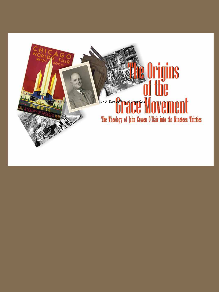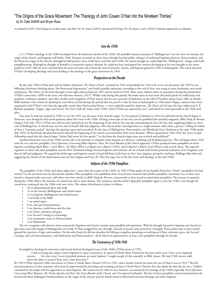# "The Origins of the Grace Movement: The Theology of John Cowen O'Hair into the Nineteen Thirties" by Dr. Dale DeWitt and Bryan Ross

As printed in GGF's *Truth Magazine* in three parts, Jan-Mar, Vol. 63, Issue 4 (2014), Apr-Jun and Jul-Sep, Vol. 64, Issues 1 and 2 (2014). Footnotes appear here as endnotes.

# *Into the 1930s*

J. C. O'Hair's theology in the 1930s developed from the distinctive details of the 1920s. He probably heard accusations of "Bullingerism" over his views of miracles, the origin of the church, and baptism well before 1930. Tensions increased on these views through forceful public critiques of traditional baptism practices, Pentecostalism, and the Pentecost origin of the church, although he held positive views of the latter until the mid-1930s. He clearly thought he could dispel the "Bullingerism" charges with bold pamphleteering. Although he thought of himself as a twentieth-century reformer, he could not have anticipated the tensions developing in his own thought as the storm peaked in 1935. Still, he never wavered from his sense of God's call or from the view of miracles, church, and baptism gained in 1920 at Indianapolis. This article discusses O'Hair's developing theology and issues leading to the theology of the grace movement by 1944.

## **Perspectives on the Decade**

By the early 1930s O'Hair had read Sir Robert Anderson's *The Silence of God*—certainly by 1935 and probably by 1933 as far as we can document. By 1935 he was following Anderson's thinking about "the Pentecostal dispensation" and Israel's possible repentance extending to the end of Acts, even using at times Anderson's own words and phrases. The *Silence of God* went through at least eight editions between 1897 and his death in 1918. These many editions show its popularity during the period from O'Hair's conversion (1899) to his entry into full-time ministry (1917). Widely read during this period, the book seems to have been discussed quietly by millenarian and prophetic conference speakers, and other teachers and evangelists. O'Hair reports that he saw a portrait of Anderson on the wall of President James Gray's office at Moody Bible Institute. One reason for thinking he read *Silence of God* during this period (but not proof) is that his host at Indianapolis in 1920, James Nipper, seems to have been acquainted with O'Hair's view that the sign-gifts ceased when Paul reached Rome—a view explicitly stated by Anderson. *The Silence of God* may also have influenced A. E. Bishop's pamphlet, *Tongues, Signs and Visions, Not God's Order for Today* (early 1920), which O'Hair says opened his eyes,**<sup>1</sup>** and which he cited repeatedly in the 1930s and after.

One issue he had not resolved in 1930, or even by 1935, was the time of the church's origin. In *Unscriptural Cathedrals* (ca 1931) he still believed the church began at Pentecost, even though he had raised questions about this view in the 1920s. During at least part of the two years he published the monthly magazine, *Bible Study for Bereans* (August 1935 July 1937), O'Hair was still not only unresolved over the beginning of the church, but was also entertaining the Acts 28 view, thus supplying fodder to critics' cries of Bullingerism. A related issue was the time of Israel's fall and judgment, often discussed by contemporaries as a single moment rather than a process. Calling the whole of Acts a "transition period" also kept the question open and unresolved. By the time of *Bullingerism, Pentecostalism, and Worldwide Grace Testimony* in the early 1940s (probably 1945), he had firmly decided that Israel's fall and the beginning of the church occurred before Paul wrote Romans. (When organized in 1944-1945, the Grace Gospel Fellowship stated that the church began "before Paul wrote his first epistle.") In this form the church-origin issue was resolved and stabilized.**<sup>2</sup>**

Another distinctive issue of the 1930s was his call to the churches to abandon water baptism as a divisive, confusing and ill-defined practice. This call began about 1928 with the very assertive pamphlet, *Seven Questions Concerning Water Baptism*. Then *The Great Blunder of the Church* appeared. O'Hair produced more pamphlets on water baptism, including *Much Water—Little Water—No Water; When is a Baptist not a Baptist?* (1942), and *Is Baptism a Watery Grave Witness?* and several others. The repeated argument in these and other pamphlets was the New Testament linkage of water baptism with miracles, the tie of both with Israel's potential realization of its kingdom, and then its fall and judgment. He argued that both signs and baptism ceased as Israel fell from God's favor in Acts' later chapters, giving his teaching a Bullinger-like look and suggesting the church of this dispensation may not have begun until Acts 28. Thus the stage was set for the events and theology of the mid-1930s.

## **Subjects of the 1930s Pamphlets**

The pamphlets of the 1930s total about eighty-five—more than the output of the 1920s. In 1945 O'Hair spoke of one hunded thirty-four "books" (pamphlets) he had written;<sup>3</sup> we do not know how he derived this number. Most pamphlets were published alone. Several were reissued with another pamphlet; sometimes two or three were issued or reissued under one cover; still others were first articles in *Bible Study for Bereans*, concurrently or later issued as stand-alone pamphlets. The increase in quantity during the 1930s reflects the intensity of controversy and its main themes. This summary and the article's Appendix pamphlet registry cover the 1930s, even though the controversy continued into the 1940s with new critics. The subject distribution is about as follows:

- 18 on dispensational ideas and study
- 13 on the church, Bullingerism and related issues
- 13 on baptism, Bullingerism and related issues
- 7 on books of the Bible
- 7 on varied topics
- 6 on cults and denominations
- 5 on America, world issues and the Jews
- 4 on Christ, salvation and grace
- 4 on Second Coming or eschatology
- 4 on charismatic issues or Pentecostalism
- 2 on Modernism

The two categories with thirteen items respectively (baptism and church) contain many parallels and repetitions. With his thought focused on baptism and church-origin issues and with charges of Bullingerism over both, O'Hair struggled his way through a decade of attacks and controversy. Strangely, Pentecostals seem to have mostly ignored his rejection of signs and wonders. On the other hand, he did not abandon his lifelong evangelism preaching or teaching on Christ, salvation, grace, the Second Coming, cults and denominations, and Modernism and Pentecostalism—all of which are represented in at least a few pamphlets through the decade.

# *The Controversy of 1930-1940*

Entangled in theological controversy and several derived theological issues of the 1930s, O'Hair wrote in 1935:

. . . I did not bring this subject [water baptism] to open controversy. As pastor of North Shore Church for the past twelve years I have never baptized anyone. . . . For nine years I never preached sermons on water baptism. I taught people of this assembly in Bible classes. We had 2,500 sinners walk down the aisles to accept Christ since I have been here.**<sup>4</sup>**

By 1945 O'Hair reported 5,000 conversions to Christ at North Shore Church (1923 to 1945), and a Sunday School ten times the size of what it was in 1923.**<sup>5</sup>** The balanced perspectives in this summary tell us how he apportioned his preaching and teaching activities at North Shore Church; they also dispel the idea that he was a "faddist" consumed in the pulpit with his opposition to water baptism. The controversy he refers to was, however, occasioned by his writings of the 1920s, especially *Seven Questions Concerning Water Baptism*, *The Twelve Apostles and Paul*, *The Great Blunder of the Church*, and *Unscriptural Cathedrals*. The first of these pamphlets stirred immersionists; the second and third challenged Fundamentalists on the origin of the church; and the fourth aimed at Reformed covenant theology and infant baptism.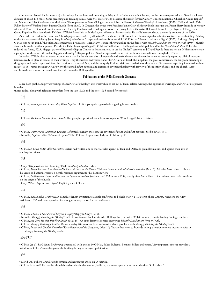Chicago and Grand Rapids were major backdrops for teaching and preaching activity. O'Hair's church was in Chicago, but he made frequent trips to Grand Rapids—a distance of about 175 miles. Some preaching and teaching venues were Mel Trotter's City Mission, the newly formed Calvary Undenominational Church in Grand Rapids,<sup>6</sup> and Maranatha Bible Conference in Muskegon. The opponents in West Michigan became Albertus Pieters of Western Theological Seminary (1930-1931) and David Otis Fuller, Pastor of Wealthy Street Baptist Church (from 1934). In Chicago, the critics were President James Gray of Moody Bible Institute and Pastor Harry Ironside of Moody Memorial Church. Gray and Ironside were once friendly Fundamentalist colleagues, so too, the evangelistic millenarian Reformed Pastor Harry Hager of Chicago, and Grand Rapids millenarian Martin DeHaan. O'Hair's friendship with Muskegon millenarian Pastor-scholar Harry Bultema outlasted these early contacts of the 1920s.

An article (or two) in the Reformed Church paper, *The Leader*, by Albertus Peters (about 1931),**<sup>7</sup>** would have been a sign that a heated controversy was building. Adding to the fire were two articles by James Gray in *Moody Monthly* on "Dispensationalism Running Wild" (1933) and "Water Baptism and Signs" (1935). Although Gray said O'Hair was not in mind,**<sup>8</sup>** the titles and content were provacative. Then Harry Ironside threw gasoline on the flames with *Wrongly Dividing the Word of Truth* (1935). Shortly after the Ironside booklet appeared, David Otis Fuller began speaking of "O'Hairism" (alluding to Bullingerism) in his pulpit and in the *Grand Rapids Press*. Fuller then induced his friend, W. A. Haggai, pastor of Brookville Baptist Church in Massachusetts, to use his (Fuller's) sermons and Grand Rapids Press articles on O'Hairism to create a pamphlet of the same title under Haggai's authorship.<sup>9</sup> His pamphlet, *O'Hairism*, appeared about 1940 with four more editions through the 1950s.

In replies, O'Hair often expressed wonderment that his Fundamentalist colleagues should make themselves his enemies when he was only repeating biblical interpretations already in place in several of their writings. They themselves had voiced views like O'Hair's on Israel, the kingdom, the great commission, the kingdom preaching of the gospels and early chapters of Acts, the transitional nature of Acts, and the uniquely Pauline origin and revelation of the church. Pieters—not especially interested in these ideas (1931)—rather thought O'Hair's views threatened infant baptism and Reformed covenant theology with its view of the identity of Israel and the church. Gray and Ironside were most concerned over ideas that sounded Bullinger-like.

#### **Publications of the 1930s Debate in Sequence**

Since both public and private writings shaped O'Hair's theology, it is worthwhile to set out O'Hair's related writings, the opposition's writings, and O'Hair's responses, in order

(notes added, along with relevant pamphlets from the late 1920s and the post-1935 period for context):

1928

• O'Hair, *Seven Questions Concerning Water Baptism*. His first pamphlet aggressively engaging immersionists.

1929

• O'Hair, *The Great Blunder of the Church*. This pamphlet provided some basic concepts for W. A. Haggai's later criticism.

1930

• O'Hair, *Unscriptural Cathedrals*. Engages Reformed covenant theology, the covenant of grace and infant baptism. See below at 1931.

• Ironside, *Baptism: What Saith the Scripture?* Third Edition. Appears to allude to O'Hair on p. 21.

1931

• O'Hair, *A Letter to Mr. Albertus Pieters*. Pieters had written one or more articles against O'Hair and DeHaan's premillennialism, and against their anti-infant baptism views.

1933

• Gray, "Dispensationalism Running Wild," in *Moody Monthly* (Feb.).

• O'Hair, *Much Water—Little Water—No Water: A Letter to the Illinois Christian Fundamentals Ministers' Association* (Mar. 6). Asks the Association to discuss his views on baptism. Presents a tightly reasoned argument for his baptism view.

• O'Hair, *Bullingerism, Pentecostalism and the Plymouth Brethren* (written late 1933 or early 1934, shortly after *Much Water. . .*). Outlines three basic positions on the origin of the church.

• Gray, "Water Baptism and Signs." Explicitly anti- O'Hair.

1934

• O'Hair, *Berean Bible Conference*. A pamphlet-length invitation to a Bible conference to be held May 7-11 at North Shore Church. Mentions the Gray articles of 1933 and raises questions for thought in preparation for the conference.

1935

• O'Hair, *When is a Fine Piece of Exegesis a Vagary?* Reply to Gray (1935).

• Ironside, *Wrongly Dividing the Word of Truth*. A now famous booklet aimed at Bullingerism, but with O'Hair in mind, thus inflaming Bullingerism fears. • O'Hair, *Art Thou He that Troubleth Israel?*, (May 15). An open letter to Ironside answering *Wrongly Dividing the Word of Truth*.

• O'Hair, *Wrongly Deriding Christian Brethren*, (May 20). Another letter to Ironside about problems with *Wrongly Dividing the Word of Truth*.

• O'Hair, *Purile and Childish Diatribes: Water Baptism and the Scriptures*, (May 20). Yet another letter to Ironside calling attention to more inconsistencies in *Wrongly Dividing the Word of Truth*.

## 1935-1937

• O'Hair (et al), *Bible Study for Bereans*; a periodical with articles by O'Hair, Baker, Bultema, Bennett, Sellers and others. Very important since it provides a window on O'Hair's month-by-month thinking during its two-year publication.

1937

• O'Hair letter to Fuller and his church board on the abusive sermon, bulletin, and newspaper articles under the title, "O'Hairism."

<sup>•</sup> David Otis Fuller's Grand Rapids sermon and newspaper article on O'Hairism.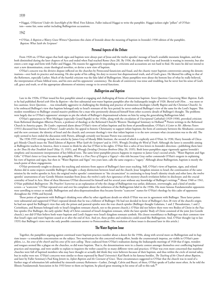• Haggai, *O'Hairism! Under the Searchlight of the Word*. First Edition. Fuller induced Haggai to write the pamphlet. Haggai isolates eight "pillars" of O'Hairism—some fair, some unfair including Bullingerism accusations.

1942

• O'Hair, *Is Baptism a Watery Grave Witness?* Questions this claim of Ironside about the meaning of baptism in Ironside's 1930 edition of the pamphlet, *Baptism: What Saith the Scripture?*

# **Personal Aspects of the Debate**

From 1920 on, O'Hair argues that both signs and baptism were always part of Jesus and the twelve apostles' message of Israel's available messianic kingdom, and that both diminished during the later chapters of Acts and ended when Paul reached Rome (Acts 28). By 1936, the debate with Gray and Ironside is waning in intensity, but also enters a new stage and form with Fuller and Haggai. His reasons for aggressively responding to criticisms and accusations are not hard to find. He states he did not intend to start a new denomination, create theological novelties, or devise a new view of baptism.

O'Hair's concern was the divisive dispute inflicted on the churches by Pentecostal fanaticism and fraud, and the chaotic water baptism controversies among the denominations—over both its practice and meaning. He also spoke of his calling, his duty to recover lost dispensational truth, and of God's grace. He likened his calling to that of the Reformers, especially Luther. Much of the hurtful criticism was the false label of Bullingerism. Many pamphlets were about the bottom line of what he really believed, the interpretation of basic biblical texts, and his own and his opponents' consistency. The decade of controversy was tense and troubling, but he never lost his sense of God's call, grace and truth, or of the appropriate allotments of ministry energy to its several functions.

## *Bullingerism and Baptism*

Late in the 1920s, O'Hair issued his first pamphlet aimed at engaging and challenging all forms of immersion baptism: *Seven Questions Concerning Water Baptism*. Earlier he had published *Buried with Him by Baptism*—the first substantial non-water baptism pamphlet after the Indianapolis insight of 1920. *Buried with Him*. . . was more or less cautious; *Seven Questions*. . . was remarkably aggressive in challenging the thinking and practice of immersion theologies (chiefly Baptist and the Christian Church). In it he embraced Bullinger's view that baptism belonged only to Israel's remnant of the Acts period; he never embraced Bullinger's view of the same for the Lord's Supper. This modest resemblance to Bullinger created massive problems for a man who persistently distanced himself from other eccentric details of Bullinger's thought. The problems were largely due to O'Hair's opponents' attempts to pin the whole of Bullinger's dispensational scheme on him by using the generalizing Bullingerism label.

O'Hair's appearances in West Michigan (especially Grand Rapids) in the 1920s, along with the circulation of *Unscriptural Cathedrals* (1929-1930), provoked criticism from Reformed theologian Albertus Pieters, a professor of theology at the Reformed Church's Western Theological Seminary in Holland.**<sup>10</sup>** Pieters writings in the Reformed Church in America paper, *The Leader*, expressed alarm about O'Hair's views of infant baptism and his form of premillennialism. O'Hair's *A Letter to Mr. Albertus Pieters* (1931) discussed four themes of Pieters' *Leader* articles: his appeal to historic Christianity to support infant baptism; the form of continuity between the Abrahamic covenant and the new covenant; the identity of Israel and the church; and covenant theology's view that infant baptism is to the new covenant what circumcision was to the old. The reply seemed to have ended the discussion with Pieters, although certainly not because Pieters was convinced.

The 1930-1935 writings include two articles by James Gray of Moody Bible Institute, the second of which is explicitly anti-O'Hair. In 1930, Harry Ironside of Chicago's Moody Church issues the Third Edition of *Baptism: What Saith the Scripture?* and in 1935, *Wrongly Dividing the Word of Truth*. Although the latter is ostensibly aiming at Bullingerite teachers in America, there is reason to think he also has O'Hair in his sights. O'Hair fires a salvo of two letters in Ironside's direction—publishing them later as *Art Thou He that Troubleth Israel?* (May 15, 1935), and *Wrongly Deriding Christian Brethren* (May 20, 1935). Both letter-pamphlets argue vigorously against Ironside's simplistic and inconsistent interpretation of key biblical texts. The same letter-pamphlet process happens in response to James Gray's second article, "Water Baptism and Sign Gifts." O'Hair's letter to Gray becomes the pamphlet, *When is a Fine Piece of Exegesis a Vagary?*—this title because Gray earlier commends O'Hair's exegesis in explaining his view of baptism and signs, but then in "Water Baptism and Signs" two years later, calls the same exegesis a "vagary." Although about Bullingerism, baptism is mostly the touch-point of these engagements.

O'Hair persistently sought to distance his teaching and ministry from aspects of Bullinger's later-years teaching. Still, O'Hair's views of baptism, signs, and related themes did in some respects resemble Bullinger's thought: a sharp distinction between Israel and the church; Jesus' kingdom mission to Israel; the continuation of the same mission by the twelve apostles in Acts; the original twelve apostles' commitment to "the circumcision" in continuing to keep Israel's identity rituals and other laws; the twelve apostles' unawareness of any Gentile Mission mandate from Jesus; the twelve's early-Acts ignorance of the mystery-church revelation before its disclosure; and the crucial centrality of Israel in Acts. Most of these likenesses O'Hair discovered for himself and for several years without any knowledge of Bullinger's writings.**<sup>11</sup>** About 1940 or 1941, O'Hair published *Bullingerism: The Preachers' Scarecrow* as an explanation of why the charge of Bullingerism was unfair, dishonest, overwrought, and a kind of smokescreen—a "scarecrow." O'Hair repeated over and over his complaint about the unfairness of the Bullingerism label in the 1930s. His more famous Fundamentalist opponents were unwilling to retract or modify. Bullingerism and ultra-dispensationalism thus became favorite "scarecrow" names for O'Hair's theology by this cadre of opponents throughout the 1930s and beyond.

Those points of agreement with Bullinger's thinking were offset by other significant details on which O'Hair was not in agreement with Bullinger. These latter points were substantial and supported O'Hair's repeated denials that he was a follower of Bullinger: He had not decided in favor of Bullinger's Acts 28 view of the church's origin; he had not opted for Bullinger's view that only the prison and pastoral epistles were the true church epistles (Bullinger thought Galatians, 1 and 2 Thessalonians, 1 and 2 Corinthians, and Romans belonged only to Israel's kingdom remnant church, not to the present church.); O'Hair did not believe there were two Bodies of Christ in the Pauline epistles (For Bullinger, the early epistles' Body of Christ consisted of Israel's kingdom remnant, while the later epistles' Body of Christ consisted of the joint Jew-Gentile church.); nor did O'Hair believe both water baptism and Lord's Supper were Israel's kingdom remnant symbols. His closest resemblance to Bullinger was their common view that Israel's signs and water baptism ceased at or after the end of Acts. And yet, these probes and tendencies could sound like Bullingerism. And, O'Hair thought (up to late 1935) that Bullinger's views were the only possible consistent answer to Pentecostalism. (The resolution of these issues is discussed later in this article.)

# **The Water Baptism Issue**

Together, the pamphlets arguing against continued water baptism practices number about a dozen for the 1930s, along with several more on Bullingerism and its baptism issues—a remarkable concentration on the subject. Two motivations for this concerted writing effort, beside the counterattack impetus, are visible in O'Hair's pamphlets, i.e., his *sense of the church* and his *sense of his own calling*. These coalesced from O'Hair's realization during the Indianapolis meetings of 1920 that if signs, wonders and tongues seemed like a plague on the churches, so did water baptism. That is, the denominations were in a chaotic contest amongst themselves over conflicting baptismal practices and meanings, and were unable to explain to inquirers the welter caused by so many different views and practices. O'Hair was even more concerned that mainline churches were full of baptized members who may have thought or actually did think they were believers because of their baptism, and thus within the circle of eternal safety, but in reality were not. O'Hair's concerns were similar to those expressed by Basel University's Karl Barth in his famous booklet, *The Teaching of the Church about Baptism*, and later by Fuller Seminary's Paul King Jewett in, *Infant Baptism and the Covenant of Grace*. These circumstances suggested to O'Hair that the church was in need of a further stage of reformation left unfinished by sixteenth-century Reformers—Luther, Zwingli, Calvin and Bucer; of these, O'Hair speaks of Luther most often. As he told the Illinois Fundamentals Association in his 1933 letter to them on baptism, he placed great meaning in his sense of call to this task.**<sup>12</sup>**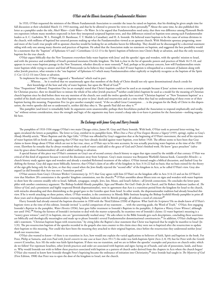## *O'Hair and the Illinois Association of Fundamentalist Ministers*

In 1933, O'Hair requested the ministers of the Illinois Fundamentals Association to consider the issues he raised on baptism, that his thinking be given ample time for full discussion at their scheduled March 13, 1933 meeting, and that he be allowed to present his views to them personally.**<sup>13</sup>** About the same time, he also published this letter as a pamphlet under the title, *Much Water—Little Water—No Water*. In it he argued that Fundamentalists need unity, that there was difference among Plymouth Brethren expositors (whom many members respected) in how they interpreted scriptural baptism texts, and that differences existed on baptism texts among such Fundamentalist leaders as A. C. Gaebelein, W. L. Pettingill, D. Barnhouse, T. T. Shields (a Canadian), and H. A. Ironside. He believed water baptism to be the cause of serious divisions in the church, with millions of baptized but unsaved persons making up what the Fundamentalists viewed as an apostate church. With Modernist apostasy progressing, more and more of the Lord's true people still in apostate churches would be looking for an orthodox haven for fellowship. They should not be discouraged by a doctrinal statement siding with only one among many theories and practices of baptism. He asked that the Association make no statement on baptism, and suggested the best possibility would be a statement that the "baptism" of Ephesians 4:5 and 1 Corinthians 12:12-13 is the Spirit's baptism of believers into Christ's Body at salvation, and thus the only necessary baptism for the true church.

O'Hair argues biblically that the New Testament everywhere links water baptism with Jesus' and the apostles' signs and wonders, with the apostles' mission to Israel, and with the presence and availability of Israel's promised messianic-Davidic kingdom. The link is clear in the list of apostolic powers and practices of Mark 16:15-18, and appears in every water baptism passage in the New Testament, whether directly or more remotely.<sup>14</sup> And, perhaps as his primary concern, how will Fundamentalists retain water baptism while trying to answer and fend off Pentecostals (as he believes they would like to do)? If water baptism is relinquished as a remnant of Judaism along with other Jewish practices, what remains is the "one baptism" of Ephesians 4:5 which many Fundamentalists either explicitly or implicitly recognize as the baptism of the Spirit (1 Cor 12:12-13) into Christ at salvation.

To implement his request, O'Hair suggested a "Resolution" which read in part:

- . . .Whereas. . . be it resolved that we unanimously agree that members of the Body of Christ should not rely upon denominational church creeds for
- their knowledge of the how and why of water baptism, but upon the Word of God.**<sup>15</sup>**

Nine "Propositions" followed. Proposition One (as an example) stated that Christ's baptism could not be used as an example because if Jesus' actions were a correct principle for Christian practice, then we should have to imitate the whole of his other Jewish practices;**<sup>16</sup>** neither could John's baptism be used as a model for the meaning of Christian church baptism since he died before there was any mention of the church; nor could the twelve apostles have received "Christian baptism" or "New Testament baptism" as a symbol of his death and resurrection, since their baptism was prior to Jesus' death and resurrection and at a time when they had no understanding of these event or of their baptism having this meaning. Proposition Five (to give another example) stated, "if the so-called Great Commission . . . is the program for the Body of Christ in this dispensation, the twelve apostles did not so understand it, neither did they obey it. The apostle Paul did not obey it."**<sup>17</sup>**

This pamphlet (and letter) is remarkably bold. Its arguments seem unanswerable; perhaps their forcefulness pushed the Association to respond emphatically and totally, "no" without serious consideration, since the strength and logic of the arguments may have created a sharp take-it-or-leave-it position for the Association—nothing negotiable here.

## *The Exchange with James Gray and Harry Ironside*

The pamphlets of 1933-1936 engage O'Hair's two main Chicago critics, James M. Gray and Harry Ironside. With both, O'Hair took to personal letter-writing, but again circulated the letters as pamphlets. The letter to Gray, entitled in its pamphlet form, When Does a Piece of Fine Exegesis Become a Vagary? (1935, spring), replies to Gray's *Moody Monthly* article, "Water Baptism and the Sign Gifts." O'Hair was offended by Gray's suggestion that at the beginning of O'Hair's movement, the seed of his rejection of water baptism fell on fertile soil, suggesting that O'Hair may have already decided against water baptism, even before 1920. The offense seems to have been that Gray claims to know things about O'Hair which are not in fact true, since, as O'Hair says in his own accounts, he was actually practicing water baptism at the time of the 1920 event. Elsewhere he remarks that he always wondered what a tank of water could add to the grace of God and Christ's finished work. He knew "grace preachers" (salvation-by-grace-alone-Fundamentalists) all said it added nothing to salvation.

A special feature of this piece was O'Hair's comment on Gray's use of second century church history to argue that signs ceased by the middle of that century. O'Hair was critical of this kind of argument because it moved the discussion away from Scripture. Gray's main resource was Benjamin Warfield's famous book, *Counterfeit Miracles*—a church history study against signs and wonders and already a standard Reformed treatment of the subject. O'Hair instead sought a biblical discussion, and faulted Gray for shifting the format. Gray did argue more biblically, however, that O'Hair's claim of an offer of the kingdom in Acts 3:14-22 had no basis; that no basis existed for the theory of the sign gifts being only for the Jews, or that they ceased when the Jews finally rejected the "second offer" of the kingdom in Acts, as he called O'Hair's view. Gray also argued (as did Ironside) that Acts was not a "transition period."

O'Hair answers from Gray's *Christian Workers' Commentary* (p. 317) that Gray agrees with him (O'Hair) on the kingdom offer in Acts 3:14-22 and on his (O'Hair's) view that Matthew 28's commission is the apostles' kingdom commission, not the church's.**<sup>18</sup>** O'Hair assembles about fifteen texts on signs and wonders with water baptism to show how the contexts steadily refer to Israel, Sabbath, synagogue, temple, Jews, law, Moses, and Israel's fathers—all Jewish connections. He concludes the letter-pamphlet with another consistency argument: The Bishop-Scofield-Moody pamphlet, *Signs and Wonders Not God's Order for the Church*, and Sir Robert Anderson (author of, *The*  Silence of God, and a prominent and highly respected British dispensationalist), were in agreement that Acts is a transition period from the kingdom for Israel to the church, with miracles abounding and then diminishing as the gospel goes to the Gentiles apart from Israel. In other words, the dispensationalist tradition had already broached this view. If he is worth attacking on these points, where, O'Hair wonders, is the consistency in Moody Bible Institute keeping the Bishop-Scofield-Moody pamphlet in print all these years and in dispensational Fundamentalists venerating Robert Anderson with his British prestige, all without a word of criticism?**<sup>19</sup>**

Harry Ironside had already entered the baptism discussion in 1930 with the Third Edition (1930) of *Baptism: What Saith the Scriptures?* He no doubt knew of O'Hair's baptism views at the time of this edition. Ironside invited "a careful comparison of my statement . . . with the unerring guide, the Word of Truth." O'Hair, first engaging Ironside's *Baptism* in the pamphlet, *Water Heretics* (1936), later gave fuller treatment to Ironside's Baptism in the pamphlet, *Is Baptism a Watery Grave Witness?*, although not until 1942.<sup>20</sup> Noting the fairness of Ironside's invitation to deal with the matter scripturally, he examines two of Ironside's claims: (1) water baptism's meaning is a "watery grave witness"; and (2) in baptism, sins are "governmentally washed away." He asks where in the Bible Ironside gets such descriptions, concluding these assertions are biblically and theologically meaningless and made up to please Ironside's several Fundamentalist denominational constituencies.**<sup>21</sup>** In addition, O'Hair challenges Ironside's statement, "Christian baptism began with resurrection," by citing John the Baptist's clear statement that Christ was baptized that he might be manifest to Israel (Jn 1:31). The pre-resurrection baptism of the apostles recorded in the gospels also runs counter to this claim since they were not re-baptized after the resurrection to update their baptism to this meaning. Nor could this have been the meaning they attached to their original baptism, since before the resurrection they understood neither Jesus' death nor resurrection.

O'Hair also wanted to know—if there is no transition in Acts, how would one explain the varied applications to believers of faith, Spirit and baptism in the book. For Peter, Philip at Samaria, and even Paul with *Jewish converts* in one case at least (Acts 19:1-7) the order was faith-baptism-Spirit (Acts 2; 8; 19); but for Peter with the *Gentile convert* (Cornelius, Acts 10) the order was faith-Spirit-baptism. If there was no transition, and we are to follow the apostles' examples and practices on church order, which do we follow? For repentant Israelites, other Jewish practices and order are associated with baptism and signs: laying on of hands, and sale of possessions, lands, and houses. Why would Ironside not wish to follow these practices associated with baptism as a pattern of church order derived from the chapters in Acts where the church began? O'Hair also wanted to know how Ironside thought Peter's baptizing became the ordinance of initiation into Christianity,**<sup>22</sup>** since Ironide had taught in *The Mysteries of God* (First Edition, 1908) that Peter was to open the door of the kingdom to Israel, not the church.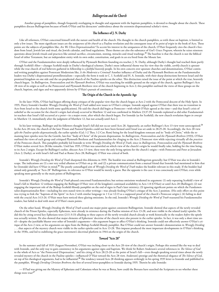# *Bullingerism and the Church*

Another group of pamphlets, though frequently overlapping in thought and argument with the baptism pamphlets, is devoted to thought about the church. These pamphlets discuss Bullingerism because of both O'Hair and his detractors' ambivalence about the extremist dispensational scholar's views.

## **The Influence of J. N. Darby**

Like all reformers, O'Hair concerned himself with the nature and health of the church. His thought in the church pamphlets, as with those on baptism, is limited to only a few issues. The more significant issues are the *uniqueness of the church* as a Pauline revelation and the consequent issue of its *point of origin* in the book of Acts. These points are the subjects of pamphlets like, Are We Ultra-Dispensationalists? To accent his interest in the uniqueness of the church, O'Hair frequently cites the church's freedom from Israel, Jewish law and ritual, the Jewish calendar, and food regulations. These themes are also the substance of *God's Grace Program*, wherein he raises nineteen questions about Jewish rituals and practices like animal sacrifice, circumcision, stoning, miracles and ritual washings.**<sup>23</sup>** The baseline is that the church is not the biblical Israel of either Testament, but an independent entity with its own order, constitution, and goals in an era freed from the Mosaic law.

O'Hair and the Fundamentalists were deeply influenced by Plymouth Brethren founding era teacher, J. N. Darby, although Darby's thought had reached them partly through Scofield's filter—changes Scofield made in Darby's theological schemes. Darby's most influential theme was his view that the visible, *earthly* church is *apostate* while the true church of real believers gathered in fellowship is a *faithful heavenly* people. In his own concern over apostate churches and denominations, O'Hair continued writing pamphlets against Protestant Modernism like, *Is the Modernist a Criminal?* Another influence of Darby and the Plymouth Brethren on the Fundamentalist leaders was Darby's dispensational premillennialism—especially the form it took in C. I. Scofield and H. A. Ironside, with their sharp distinctions between Israel and the promised kingdom on one side and the un-prophesied church of the Pauline epistles on the other. This distinction raised the issue of the point at which the true, heavenly church began. In *Bullingerism, Pentecostalism and the Plymouth Brethren*, O'Hair was searching for middle ground on the origin of the church, against Bullinger's Acts 28 view of its origin as well as the Pentecostal and Plymouth Brethren view of the church beginning in Acts 2; this pamphlet outlined the views of these groups on the church, baptism, and signs and was apparently driven by O'Hair's pursuit of consistency.

## **The Origin of the Church in the Apostolic Age**

In the later 1920s, O'Hair had begun offering sharp critiques of the popular view that the church began at Acts 2 with the Pentecostal descent of the Holy Spirit. In 1935, Harry Ironside's booklet *Wrongly Dividing the Word of Truth* added new issues to O'Hair's critique. Ironside argued against O'Hair that there was no transition in Acts from Israel to the church (with some qualifications). He said the church did begin at Pentecost—with which O'Hair agreed at the time—and that Israel's crisis of unbelief as the occasion for the church's origin *had already occurred* in Matthew 12 and was confirmed in Mathew 23:37-39. Ironside explained as did other Fundamentalist teachers that Israel's fall occurred *at a point*—in a major event, after which the church began. For Ironside (as for Scofield), the new church revelation *began in concept* in Matthew 13, immediately after the judgment of Matthew 12, but not *actually* until Acts 2.

In his later writings, Bullinger and his followers thought Israel's fall did not occur until Acts 28. Apparently, an earlier Bullinger's Acts 13 view went unrecognized.**<sup>24</sup>** In the Acts 28 view, the church of the later Prison and Pastoral Epistles could not have been formed until Israel was set aside in 28:25-28. Accordingly, the Acts 28 view *split the Pauline epistles dispensationally*, the earlier epistles (Gal; 1-2 Thes; 1-2 Cor; Rom) being for the Israel-kingdom remnant and its "body of Christ," while the remaining later epistles were for the Gentile, law-free "body of Christ" of the present dispensation. In *Bullingerism, Pentecostalism and the Plymouth Brethren* (1933), O'Hair outlined the views of each group and critiqued Plymouth Brethren and Fundamentalists for clinging to the Acts 2 Pentecost view while rejecting virtually all the *practices* of the Pentecost church. This pamphlet probably led Ironside to write *Wrongly Dividing the Word of Truth*, since in *Bullingerism, Pentecostalism and the Plymouth Brethren* O'Hair makes several Acts 28-like remarks. Until late 1935, O'Hair was unsettled on which view of the church's origin he would finally take, holding for the time being, to its Acts 2 origin. Except for Bullinger's earlier, obscure Acts 13 view, these were the only living options for the church's origin—with Pentecost and Peter at Jerusalem (Acts 2; Darby), or with Israel's fall and Paul at Rome (Acts 28; Bullinger). O'Hair was critical of both.

Ironside's *Wrongly Dividing the Word of Truth* sharpened this dilemma in 1935. The booklet was aimed at Bullingerism generally; but O'Hair was also in Ironside's scope. The indications are (1) a not very veiled allusion to O'Hair on p. 66, and (2) a private communication from a mutual friend that Ironside had mentioned to him that he (Ironside) did have O'Hair in mind.**<sup>25</sup>** The poorly camouflaged aim of *Wrongly Dividing the Word of Truth* makes the booklet relevant in this study. If the booklet had aimed only generally at "Acts 28" Bullingerism, its relevance to O'Hair would be merely a guess. But the opposite is the case: it was consciously anti-O'Hair, even while speaking more generally to the main points of Bullingerism.

Ironside's *Wrongly Dividing the Word of Truth* pleased concerned Fundamentalists; but serious omissions weakened its argument: (1) only repeating Scofield's view of Israel's fall in Matthew 12 without engaging the Bullinger-O'Hair view of the kingdom's continued availability in Acts 1-8 (O'Hair) or until Acts 28 (Bullinger); (2) not engaging the important role of the Bishop-Scofield-Moody pamphlet on the end of signs in Paul's later ministry; (3) ignoring significant points on which the Fundamentalist-dispensationalist flow—including his own stated views in other writings—was already feeding O'Hair's critique of the Acts 2 position. (His only effort on this point was trying to link the "baptism of the Spirit" in Acts 2 with similar language in 1 Cor 12:13 as a supposed proof of the church's Pentecost origin.); (4) failing to deal with the crucial Acts 3:13-26. O'Hair must have noticed these glaring omissions. In the end, Ironside's *Wrongly Dividing the Word of Truth* reassured his Fundamentalist readers, but failed to deal with most of O'Hair's main points.

On the other hand, *Wrongly Dividing the Word of Truth* scored one major point against consistent Bullingerism. Ironside showed that aspects of the newly revealed church of the Prison Epistles, especially Ephesians, were already in existence during the Pauline mission of Acts 13-28, and were visible in the related (early) epistles. He did this by citing several key Ephesians texts (2:11-3:13) alluding to these aspects of the newly revealed church already at work historically in the readers *before* the epistle was actually written. He also showed that major elements of Ephesians' doctrine of the church were also present in the earlier epistles. In fact, it was only a short time until—despite the justifiable bluster over other of Ironside's arguments—this argument began to affect O'Hair's thinking. Ironside could not effectively answer O'Hair's critique of the Acts 2 view, or his arguments on signs from the Bishop-Scofield-Moody pamphlet. But O'Hair could not answer Ironside's demonstration in *Wrongly Dividing* . . . that aspects of the mystery church were visible in the earlier epistles and in Acts 13-28. This impasse produced the most important developments in O'Hair's thinking in the 1930s, and led to stabilizing the grace movement's doctrinal platform in 1944 on the origin of the church.

#### **Toward "Acts 28"**

In the summer and fall of 1935 (August-November), O'Hair was inching closer to the Acts 28 view of the church's origin. Perhaps this seemed like the way to deal with Ironside, and the only way to gain consistency in his arguments against signs and baptism. We think Sir Robert Anderson's several references in *The Silence of God* to the whole of Acts as "the Pentecostal Dispensation," and his citing of Acts 28:23-28 as the point of Israel's fall—even though speaking several times about the newly revealed mystery of the church in the Pauline epistles—influenced O"Hair toward the Acts 28 view. Anderson's prestige and the rhetorical elegance of *The Silence of God*, on top of his theological arguments, had to be influential.**<sup>26</sup>** The tendency toward Acts 28 thinking appears strikingly in his spring 1935 letter to Ironside and published in the pamphlet, *Wrongly Deriding Christian Brethren*; the first of several letter-pamphlets to Ironside during 1935. Therein he asks Ironside:

— If Paul was giving out the Mystery of Ephesians and Colossians when he was at Berea, how could the Bereans have searched the Scriptures to see whether these things were true?**<sup>27</sup>**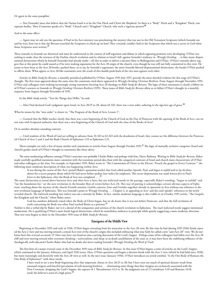#### Or again in the same pamphlet:

— You [Ironside] must also believe that the Nation Israel is to be the One Flock and Christ the Shepherd. So there is a "Body" Flock and a "Kingdom" Flock, two separate bodies. Then if someone speaks of a "Body" Church and a "Kingdom" Church, why such a vigorous protest?**<sup>28</sup>**

#### And to the same effect:

— Again may we ask you the question, if Paul in his Acts ministry was proclaiming the mystery that was not in the Old Testament Scriptures (which Ironside too said he was), how was it that the Bereans searched the Scriptures to check up on him? They certainly couldn't find in the Scriptures that which was a secret in God when those Scriptures were written.**<sup>29</sup>**

These remarks to Ironside are rhetorical and must be understood in the context of stiff argument and debate in which opposing positions were developing. O'Hair was seeking to make clear the newness of the Pauline church revelation and its relation to Israel's fall, against Ironside's tendency in *Wrongly Dividing*. . . to blur many dispensational distinctions which he himself (Ironside) had already made—all this in order to deliver a decisive blow to Bullingerism and O'Hair. O'Hair's remarks above suggest that at this point he could sound as if he were making arguments for the Acts 28 origin of the church, even though he was still not fully committed to this view. He seems to have been at the Acts 28 border, pushed there, so to say, by Ironside's arguments: the more Ironside blurred dispensational distinctions, the harder O'Hair pushed to affirm them. What appear as Acts 28-like statements were the result of this double push-back of the two men against each other.

Articles in *Bible Study for Bereans*, a monthly periodical published by O'Hair, August 1935-July 1937, provide the more detailed evidence for this stage of O'Hair's thought. The first issue appeared about the same time the comments cited above appeared in *Wrongly Deriding Christian Brethren*. From August through November 1935, O'Hair and colleagues were making increasingly strong statements favoring Acts 28 theology in *Bible Study for Bereans*. The logic of these statements is clearly a follow-on of O'Hair's answers to Ironside in *Wrongly Deriding Christian Brethren* (1935). These issues of *Bible Study for Bereans* allow us to follow O'Hair's thought in a monthly sequence from August through November of 1935.

In the *Bible Study* article, "Test the Things that Differ," he said:

— After Paul declared God's judgment upon Israel, in Acts 28:25 to 28, about 63 AD, there was a new order, ushering in the sign-less age of grace.**<sup>30</sup>**

What he means by this "new order" is clearer in, "The Program of the Book of Acts, Lesson 1":

— Granted that the Bible teaches clearly that there was a new beginning of the Church of God on the Day of Pentecost with the opening of the Book of Acts, can we not state with Scriptural authority that there was a new beginning of the Church of God with the close of the Books of Acts?

#### Or in another absolute-sounding contrast:

— Until students of the Word of God are willing to advance from 33 AD to 63 AD with the desolation of Israel, they cannot see the difference between the Pentecostal Church of Acts 2 and 3 and the Body Church of Ephesians 1:19 to Ephesians 2:21.

These examples are only a few of many similar such statements in articles from August through October 1935.**<sup>31</sup>** The logic of mutually exclusive categories (Israel and church) guides much of O'Hair's thought in statements like those above.

The most moderating influence among O'Hair's associates was probably Charles Baker and perhaps with him, Harry Bultema. Writing in *Bible Study for Bereans*, Baker made carefully qualified statements more consistent with the transition period idea than with the categorical contrasts of Israel and church more characteristic of O'Hair and other colleagues at the time. For example, in September 1935, Baker wrote in "The Commission of Christ to the Eleven: 'Preach the gospel to Every Creature,'" the following more moderate description of what was happening within Acts:

It was during the course of this 'Acts' period [Baker's quotation marks] that God called another Apostle, Paul, and *began to unfold* and to *lay the foun-*

*dation* for a secret purpose about which He had never before spoken [our italics for emphasis]. This secret dispensation *was made known first* in Paul's letter to the Ephesians, after the Book of Acts was completed. . . .**<sup>32</sup>**

The same distinction as noted above between Acts and after-Acts is here; but our italicized words in the passage, especially Baker's wording, "began to unfold" and "lay the foundation for," set the new revelation in the broader flow of events before Acts 28. This way of putting it acknowledges certain obvious aspects of Ephesians' teaching about the mystery of the church (Gentile mission, Gentile converts, Jews and Gentiles together) already in operation in Acts without any reference to the new revelation language of Ephesians. This was Ironside's point in *Wrongly Dividing*. . . , Chapter 4, in appealing to Acts' and the early epistles' references to the newly revealed church. The italicized wording (our italics) was not a mistake by Baker. In fact, similar moderate language is also visible in an October 1935 article, "The Gospels, the Kingdom and the Church," where Baker states:

God has nowhere definitely stated when the Body of Christ began, but we do know that it was not before Pentecost, and that the full revelation of truth concerning the Body was when Paul reached Rome as a prisoner.**<sup>33</sup>**

Neither is this a verbal slip by Baker; nor is it a denial of the uniqueness and newness of the church revelation in Ephesians. The (our) italicized words suggest intentional moderation. He is qualifying O'Hair's more harsh logical distinctions, which he nonetheless embraces in principle while quietly suggesting a more moderate direction. That new turn begins to show in the December 1935 issue of *Bible Study for Bereans*.

#### **Emergence of the Middle View**

Beginning in December 1935 and early in 1936, O'Hair began retreating from his attraction to the Acts 28 view. By this time he had (during 1935-1936) firmly rejected the Acts 2 view and was moving toward a central Acts view of the church's origin; this included embracing what may fairly be called a new "anti-Acts 28" view. We do not know how this reversal occurred. O' Hair may have run head-on into a jarring discussion of the Lord's Supper. Perhaps some of his colleagues had fallen over the Acts 28 cliff and were moving toward other extremist thinking—universalism, soul sleep, or at-death annihilation of the soul; or, it may have been the stabilizing influence of the theologically well-educated Charles Baker who had no doubt also been reading Ironside's *Wrongly Dividing the Word of Truth*.

The first hint of a major reversal came in the December 1935 issue of *Bible Study for Bereans*. In this issue O'Hair begins a series of articles on the Lord's Supper, which continued in the January, February, and April 1936 issues. Here, O'Hair questions and begins a decisive break with the Acts 2 view (which he had held since 1920), but more stunningly and decisively with the Acts 28 view as well. In the next issue (January 1936), O'Hair introduces an article entitled, "Is the One Body of Romans the One Body of Ephesians?" with these words:

I have tried to see a new Body beginning after that important climax in Acts 28:25 to 28; but I have seen too much of spiritual disaster result from unsound exegesis and fanciful speculation of well-meaning brethren . . . eliminating some things that they imagine are exclusively associated with the New Covenant, dropping the Lord's Supper, the rapture of 1 Thessalonians 4:13 to 18, the judgment seat of 2 Corinthians 5:10 and Romans 14:10, [and] the believer's need of a high priest.<sup>3</sup>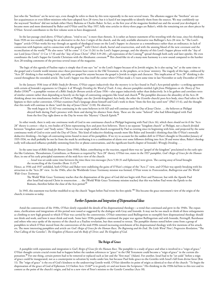Just who the "brethren" are he never says, even though he refers to them by this term repeatedly in the next several issues. The allusions suggest the "brethren" are earlier acquaintances or even fellow-ministers who have adopted Acts 28 views; but it is hard if not impossible to identify them from the sources. We may confidently say the wayward "brethren" did not include either Harry Bultema or Charles Baker. In fact, as the first year of the magazine finished out and the second year developed, it became more and more dominated by Baker and O'Hair until by May 1937, fully nine articles in thirty-three pages are Baker's, while the remaining ten are short pieces by O'Hair. Several contributors to the first volume seem to have disappeared.

In the last passage cited above, O'Hair's phrase, "tried to see," is more than rhetoric. It is rather an honest statement of his wrestling with the issue, since his thinking from 1920-on was steadily making for an alternative to the Acts 2 origin of the church, and the only available alternative was Bullinger's Acts 28 view. In "The Lord's Supper" article O'Hair works his way through an agenda of theological issues on the Lord's Supper: its character as a remembrance rather than an ordinance; its lack of connection with baptism; and its connection with the gospel,**<sup>35</sup>** with Christ's death, burial and resurrection, and with the atoning blood of the new covenant and the reconciliation of the world.**<sup>36</sup>** He also notes "till he come" (1 Cor 11:26) in the Lord's Supper passage, and the identity of this Lord's Supper phrase with the "day of our Lord Jesus Christ" (1 Cor 1:7-8) and the "day of Jesus Christ" (Phil 3:19-20)—all expressions of the Coming**<sup>37</sup>** spread through both early and later epistles. He even coordinates the Lord's Supper for Gentile Christians with the Abrahamic covenant.**<sup>38</sup>** This chord-like tie of a many-note harmony is a new sound compared to the harsher Acts 28-tending comments of the previous several issues of the magazine.

The logic of this agenda of Pauline topics is simply that if one says "no" to the Lord's Supper because of its Jewish origins, he is also saying "no" at the same time to the gospel and a Gentile world mission since these provisions have roots in the Old Testament, in the prophets, or in Jesus' ministry. The tragedy of this logic, embraced by "Acts 28" thinking is that nothing is left, especially no gospel for anyone because the gospel is Jewish in origin and character. This implication of "Acts 28" thinking is discussed throughout the extended article. The Lord's Supper was thus itself the corner where O'Hair made a U-turn some time in late November or early December of 1935.

In the January 1936 issue of *Bible Study for Bereans*, O'Hair argues inductively that the mystery is in fact found in Paul's Acts-period epistles—a striking agreement with certain of Ironside's arguments in Chapter 4 of *Wrongly Dividing the Word of Truth*. A tiny, obscure pamphlet entitled *Light from Philippians on the Theory of Two Bodies* (1936)**<sup>39</sup>**—a pamphlet version of a *Bible Study for Bereans* article of June 1936—also argues inductively rather than deductively. In it he gathers and correlates texts of similar content rather than depending so heavily on the logic of contrasting categories like Israel and church.**<sup>40</sup>** The pamphlet discusses the absurdity of the Acts 28 thinking about two simultaneous bodies of Christ at Philippi, one the (Jewish-kingdom) Acts body, the other the (Gentile-church) post-Acts body, since Paul refers in Philippians to their earlier conversion. O'Hair examines Paul's language about himself and God's work in them "from the first day until now" (Phil 1:5-6), and the thought that this work will continue in them "until the day of Jesus Christ" (1:10). He observes:

The work begun in 52 AD was continuing in the same believers in 64 AD and will continue until the Day of Jesus Christ . . . the believers at Philippi obeyed both during Paul's presence with them and during his absence from them. These are the same "beloved" who had fellowshipped with Paul from the first Day right down to the Day he wrote this 'Mystery' Church Epistle.**<sup>41</sup>**

In other words, there is only one *continuous* work of God in one continuous church at Philippi beginning with Paul (Acts 16), which there *should not be* if the "Acts 28" theory is correct—that is, two bodies of Christ representing Acts and post-Acts believers. There is no separate "kingdom church" at Philippi, nor a church divided between "kingdom saints" and "body saints." There is but one single unified church recognized by Paul as existing since its beginning with him, and projected by the same continuous work of God to exist until the Day of Christ. This kind of inductive thinking sounds more like Baker and Ironside's thinking than like O'Hair's normally deductive thinking—his logic-of-contrasting-terms found in most of his pamphlets. If we try to account for the sudden shift in O'Hair's thought in December-January of 1935-1936, we shall probably be not far from the mark by attributing it to a combination of alarm over some followers drifting into Acts 28 and worse ideas, Baker's theologically well-educated influence probably stemming from live or phone conversations, and the significant fourth chapter of Ironside's *Wrongly Dividing*. . . .

In the same issue of *Bible Study for Bereans* (June 1936), Baker, contributing to the reaction, argued there was no "gospel of the kingdom" proclaimed in the early epistles like Galatians, Thessalonians, Corinthians, or Romans as required by "Acts 28" theory. O'Hair too, states in the 1937 pamphlet, *God's Reign of Grace for the Human Race*, in one of his early principled statements of the mid-Acts view of the church:

. . . Israel was set aside some time between the time these two messages [Acts 5:30-31 and Ephesians] were given. The casting away of Israel brought the reconciling of the Gentiles (Rom 11:15).**<sup>42</sup>**

Hence, as 1936 and 1937 unfolded, both O'Hair and Baker were stabilizing the gains of O'Hair's critique of the "Acts 2" view, and O'Hair was openly breaking with his attraction to the "Acts 28" view. In the 1940s, after the Worldwide Grace Testimony mission was formed, O'Hair wrote in *Pentecostalism, Bullingerism and The World Wide Grace Testimony*:

The World Wide Grace Testimony teaches that the dispensation of the grace of God did not begin with Peter and Pentecost, but with the Apostle Paul after Israel had rejected Christ in resurrection . . . the [World Wide Grace Testimony mission teaches] that this was before Paul wrote the Epistle to the Romans, therefore before the close of the Acts period.**<sup>43</sup>**

In 1945, this statement was further modified to say the church "began before Paul wrote his first epistle."**<sup>44</sup>** This became the grace movement's view of the origin of the church; it remains so today.

## *Further Expansion and Integration of Dispensational Ideas*

Amid the controversies of the 1930s, O'Hair slowly expanded the details of his dispensational theology—a trend that continued and grew in the 1940s. The expansions, clarifications and integrations of this period were toned or suggested by the dialogue with Gray and Ironside. It may not be too much to think of these enlargements as climbing to new high ground to which O'Hair was carried by the controversies. O'Hair sometimes used Bullingerism to exemplify how dispensational theology should not think and work, and how it must think and work. Some later 1930s pamphlets continued the paper war against Bullingerism and with Ironside, Pettingill, Barnhouse and others who once spoke of the mystery of the church as a Pauline revelation, but then seemed to retreat. The pamphlet themes noted below come from a group of pamphlets in which O'Hair moved from the controversies of the mid-1930s toward increasing enrichment of his dispensational theology with few mentions of his attackers. The more interesting pamphlets and article are *God's Reign of Grace for the Human Race*; *The Beginning and the End*; *The Little Word 'Now'*; *Progressive Revelation*; "The Out-Calling of the Gentiles"; *The Kingdom of Heaven and the Body of Christ*; and *The Kingdom of God*.

#### **The Reign of Grace**

A pamphlet with expansions and integration is *God's Reign of Grace for the Human Race*. The pamphlet is a study of grace and what is involved in a "reign of grace." O'Hair thought certain crucial events had to happen before the random references to "grace" in the Old Testament could become a "reign of grace" in the current dispensation.<sup>45</sup> For one thing, certain powers had to be removed or replaced such as law and the "first man" (Adam). For another, Israel had to be "set aside" before a reign of grace could be inaugurated, not as a counterpoint to salvation by works under law, but because Paul links grace-to-the-Gentiles with Israel's fall from divine favor (Rm 11). The "reign of grace" is the era of God's kindness to the undeserving Gentile world. O'Hair identifies its point of origin as identical to that of the church: "To begin the dispensation of the grace of God of Ephesians 3:13 before Acts 13:46**46** is to greatly err and not know the Scriptures." His thinking in the 1930s led him to this text and its context as the point of the church's origin, and led to a new view of Peter's mission to the Gentile Cornelius (Acts 10).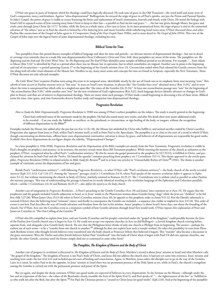O'Hair saw grace in parts of Scripture which his theology could have logically obscured. He took note of grace in the Old Testament—the word itself and many texts of God's compassion, mercy and kindness. Against "ultra-dispensational" Bullingerism, he stressed the reign of grace in all Paul's epistles, not just the Prison and Pastoral Epistles. In John's Gospel, the power of grace is visible in scenes featuring the limits and replacement of Israel's institutions, festivals and rituals, with Christ. He noted the linkage with Israel's fall in repeated scenes of Jews turning away from Christ to keep to their law—a parallel to Paul on law and grace: ". . . the law was given through Moses, but grace and truth came through Jesus Christ (Jn 1:17)." In John, while the Jews as a whole reject, a few turn to Jesus. In its most pronounced form, the reign of grace is tied to the unmerited salvation of "the others," just as in Paul the church is formed by a few *believing* Jews and many Gentiles while unbelieving Israel turns away. O'Hair discussed these and other Pauline-like connections of the Gospel of John again in *A Comparative Study of the Four Gospels* (later 1930s), and in more detail in *The Gospel of John* (1954). This view of the Gospel of John steps over the logical limits of some dispensational theology, including his own.

## **Biblical Terms for Time**

Two pamphlets from this period discuss examples of biblical language and ideas for time and periods—an obvious interest of dispensational theology—but not in detail or coverage even remotely close to a study like non-dispensationalist Oscar Cullmann's *Christ and Time*. Still, these pamphlets are aware of the terms. The pamphlets are *The Beginning and the End* and *The Little Word 'Now'*. In *The Beginning and The End* O'Hair identifies some samples of biblical period or era divisions. For example, ". . . from Adam to Moses (Rm 5:14)" is identified by Paul as a period when there was no Mosaic law in operation, but in which nonetheless sin reigned. Another case in point is the beginning and end of circumcision—a period spanning Genesis 17 to the beginning of the Gentile mission (Acts 13). Circumcision ended when Paul released his Gentile converts from the rite along with all other ritual elements of the Mosaic law. Needless to say, many more terms and concepts for time are found in Scripture, especially the New Testament. Those O'Hair discusses are only selected examples.

*The Little Word 'Now'* examines Pauline texts using this term in its temporal sense, identifiable mostly by the use of Greek *nun* or its emphatic form *nuni* meaning "now." This adverb of time occurs in Pauline mystery texts as "but *now*," in texts on Israel's new situation, in phrases like "the Gentiles have *now*" obtained mercy (Rm 11:31)," and in texts where the term is unexpressed but which refer to a singled-out span like "the times of the Gentiles (Lk 21:24)." At least one reconciliation passage uses "now" for the beginning of "the reconciliation (Rm 5:10)," while another uses "*now*" for the new revelation of God's righteousness (Rm 3:21). Such language devices identify advances or changes in God's plan in history and thus are of interest to dispensational theology. There are many more such passages. O'Hair made a small beginning in discussing a few of these terms. Biblical terms for time, time spans, and time frameworks deserve further study and integration into dispensational theology.

#### **Progressive Revelation**

*How to Study the Bible Dispensationally: Progressive Revelation* (c 1930) was among O'Hair's earliest pamphlets on the subject. The study is mostly general at the beginning:

Christ had confirmed many of the statements made by the prophets. He had also stated many new truths, and after His death there were many additional truths to be revealed. . . Can you study the Sabbath, or sacrifices, or the priesthood, or circumcision, or sign healing of the body, or tongues, without the recognition of different dispensations in the Bible?**<sup>47</sup>**

Examples include the Mosaic law added after the pre-law era (Gn 1:1-Ex 18), the Mosaic law abolished by Christ who fulfills it, and animal sacrifice ended by Christ's sacrifice. Progression also appears from Jesus to Paul, within Paul's mission itself, as well as from Paul to the Apocalypse. The pamphlet is at or close to the start of a trend in which O'Hair, though concentrating on distinctions, affirms basic cross-dispensational continuities: salvation is always by grace, and believers of all dispensations are responsible for good works. Scofield's first three dispensations do not figure despite the subtitle, "Dispensational Changes."

In a later pamphlet (c 1936-1938), *Progressive Revelation and the Dispensations of the Bible*, examples are mostly from the New Testament. Progressive revelation is visible in Paul's thoughts on prophecy and mystery: in its newness, the mystery reveals more than Old Testament prophecy. While stressing the mystery of the church as unknown to the prophets, O'Hair recognized what he called Paul's "confirmation ministry." By this he meant the gospel promised in the prophets (Is 52:7-53:12), is fulfilled in Christ, and proclaimed for salvation by both Paul and the Twelve. He based the apostles' common preaching from prophecy on 1 Corinthians 15:1-11. This theme appeared in the article-pamphlet, *Progressive Revelation* (1936); in related articles in *Bible Study for Bereans*;<sup>48</sup> and in at least two articles in "Unsearchable Riches of Christ"<sup>49</sup> (1941). The theme is another example of continuity across the dispensations of law and grace.

Beside Paul's "confirmation ministry"—still following *Progressive Revelation*—is what O'Hair calls "Paul's revelation ministry"—the body church of the newly revealed mystery (Eph 2:11-3:13; Col 1:24-27). Among the "mystery" passages cited is 1 Corinthians 2:6-8, where Paul speaks of the mystery revelation *before* it appears in Ephesians 3:1-13, but without mentioning the church or body of Christ, similarly omitted in Romans 16:25-27. The 1 Corinthians text is seldom cited as parallel to other Pauline the mystery passages. This way of understanding the passage is based on its nearly identical wording to the revelation language of the Ephesians and Colossians parallels, which—unlike 1 Corinthians 2:6-16 and Romans 16:25-27—*does define the mystery as the body-church*.

Another case of integration in *Progressive Revelation*... is Peter's preaching to the Gentile Cornelius (Acts 10) and James' later comment on it (Acts 15). He argues that the prophecies and the gospels included Gentile subjection to Israel, as in Jesus' words to the Phoenician woman about Gentiles being "dogs" while the Jews are "children" to be fed first (Mk 7:27-28). When James (Acts 15:13-18) refers to Peter's Cornelius mission (Acts 10), he appeals to this prophetic order in Amos 9:11-12: first the Davidic tabernacle is restored (Christ); then the believing Israel "remnant" enters; and finally in consequence the Gentiles are included—a sequence also visible or implied in Acts 3:17-26. This order of events is not how Paul describes the way of Gentile salvation and freedom from the law in his mission. Amos' prophecy is about Israel's latter days, not about the founding of the church. For O'Hair, Acts saw the Cornelius event as a miniature symbol of how Gentile salvation through Israel first would work. O'Hair repeats this explanation of Peter and James on Cornelius in "The Out-Calling of the Gentiles."**<sup>50</sup>**

O'Hair also felt compelled to explain how Jews, and one Gentile (Cornelius and his people) converted under the "gospel of the kingdom," could possibly become the Jews of the Pauline Jew-Gentile church once it began in Acts 13. He could not accept two separate churches in Acts (as did Bullinger)—a Jewish kingdom church existing before, separate from, and alongside a Jew-Gentile body church. He sees that the Philippians letter thinks of only one church at Philippi from its beginning. The answer—perhaps his earliest use of such terms—is by a "transfer from one church to another,"**<sup>51</sup>** although he does not explain how such a *transfer* worked. He takes this possibility in turn from Plymouth Brethren writers who thought Jewish believers were transferred into the body church at Pentecost (where they believed it began). This "transfer" idea became a discussion in the grace movement: Were the Twelve and other Jewish believers before Paul "transferred" into the body of Christ when it began with Paul? Or did two separate churches, one Jewish, the other Gentile, continue until the former simply died out or continued in some other form?

## **The Pamphlet,** *The Kingdom of Heaven and the Body of Christ*

Another case of progress in revelation is discussed in *The Kingdom of Heaven and the Body of Christ*. Matthew's record is about Jesus' mission to Israel and what Matthew calls "the gospel of the kingdom." The kingdom of heaven is not Paul's body of Christ, and Jesus did not address the church since it had not yet come into existence. Jesus' mission and teaching were under the law (Gal 4:4) and included special cases of healing and resuscitation. Again, in Matthew, Jesus orders the disciples not to go in the way of the Gentiles. Later in a vision, he orders Paul to do the opposite. In Jesus' mission to Israel there was no permanent presence of the Holy Spirit as yet, while in Paul's, the church's evangelism among the Gentiles is carried out with the permanent presence and power of the Spirit.

But yet again, and despite the sharp contrasts, O'Hair says good works are expected of believers in every dispensation. In the Sermon on the Mount—although under the law and an expression of the law—the values of the Beatitudes closely resemble the fruit of the Spirit (Gal 5), and Paul speaks of "... the righteousness of the law" as "fulfilled in us who walk not after the flesh, but after the Spirit."<sup>52</sup> For Paul the Christian person is "created in Christ Jesus for good works" (Eph 2:10). And at the beginning of the pamphlet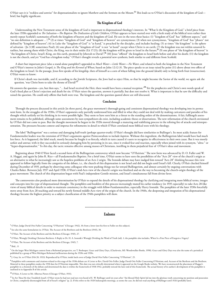O'Hair says it is "reckless and unwise" for dispensationalists to ignore Matthew and the Sermon on the Mount.**<sup>53</sup>** This leads us to O'Hair's discussion of the kingdom of God brief, but highly significant.

#### **The Kingdom of God**

Understanding the New Testament sense of the kingdom of God is important to dispensational theology's interests. In "What Is the Kingdom of God," a brief piece from the later 1930s appended to *The Salvation—The Baptism The Dedication of Little Children*, O'Hair appears to have started over with a fresh study of the biblical texts rather than merely repeat Scofield's summaries of both the kingdom of heaven and the kingdom of God. He sees in the texts these basics: (1) "kingdom of God" has "different aspects," and "no one definition is adequate ...",<sup>54</sup> (2) at times "kingdom of God" and "kingdom of heaven" are synonymous; (3) when not synonymous, "kingdom of God" has "phases" not defined by "kingdom of heaven"; (4) in Luke the "kingdom of God" is "at hand," is preached by the disciples, and includes healing; (5) at times "the kingdom" is the sphere of salvation (Jn 3:3ff; sometimes Paul); (6) one phase of the "kingdom of God" is not "at hand" except when Christ is on earth; (7) the kingdom was not within unsaved Israelites, but among them while Christ, the King, was in their midst (Lk 17:21); (8) the kingdom will be given to Israel in the future;<sup>55</sup> (9) one phase of "the kingdom of heaven" is "the kingdom of Christ, Israel's King, on this earth, promised by Jehovah to David";**<sup>56</sup>** (10) Jesus "offered" the kingdom to Israel both before and after his death; (11) the kingdom is not the church, and yet "God has a kingdom today." O'Hair's thought reveals a potential new synthesis, both similar to and different from Scofield.

A short but important piece (also a stand-alone pamphlet?) appended to *Much Water—Little Water—No Water*, and related to both the kingdom in the New Testament and O'Hair's interest in John's Gospel, is *The King and the Kernnel of Wheat*, based on John 12:12-31. The piece speaks to an issue raised by point (11) above about two offers of the kingdom to Israel. In the passage, Jesus first speaks of his kingship, then of himself as a corn of wheat falling into the ground (death) only to bring forth fruit (resurrection). O'Hair wants to know:

If Christ's death was inevitable, and if, according to the Jewish Scriptures, the Jews had to reject Him, so that he might become the Savior of the world, we again ask the question, 'was Christ born to take the throne of David?'**<sup>57</sup>**

He answers the question—yes, but then says, ". . . had Israel received the Heir, there would have been a mutual reception."**<sup>58</sup>** Yet the prophecies and Christ's own words speak of God's fixed plan as Christ's rejection and death for sin. O'Hair raises the question, answers it partially, but does not resolve it. What is important is that he saw the difficulty and raised the question. He could only affirm that both were true. The kingdom and the question quoted above are still discussed.

## **Conclusion**

Through the process discussed in this article [in three parts], the grace movement's thorough-going and consistent dispensational theology was developing into its permanent form. In the struggles of the 1930s, O'Hair's opponents only partially understood him and filled in what they could not deal with by making caricatures and parodies of his thought which unfairly set his thinking in its worst possible light. They seem to have seen him as a threat to the standing orders of the denominations. A fair, fulllength assessment remains to be published, although some assessments by non-sympathizers do exist, including academic theses or dissertations. The new reformation of the church envisioned by O'Hair did not come to pass. But the thought movement he began in the 1920s moved through a maturing and stabilizing process in the refining fire of attacks and misrepresentation. The pressures became context and impetus for refinements in detail in which O'Hair correlated more biblical texts with his theology.

The label "Bullingerism" was a serious and damaging half-truth (perhaps quarter-truth). O'Hair's thought did have similarities to Bullinger's. Its most acidic feature for Fundamentalist leaders was the extension of O'Hair's arguments against Pentecostalism to include *baptism*. Without this ingredient, the Bullingerism label would have had much less force. As it happened, the label stuck, mostly because he fought it so fiercely, which in turn caused it's users to recognize its effectiveness in their own cause. But it was mostly unfair and untrue; with it they succeeded in seriously damaging him by persisting in its use, since it evoked fear and reaction, especially when joined with its synonym, "ultra-" or "hyper-dispensationalist." To this day, the tactic remains effective among masses of Christians, instilling in them prejudicial fear of O'Hair's ideas and movement.

Beginning about 1940 O'Hair faced a second form of the Bullingerism controversy which now became "O'Hairism." The new form was advanced by D. O. Fuller and W. A. Haggai, and again by John R. Rice—all Fundamentalist Baptists. For a brief time, O'Hair seems to have seen the possibilities of the "Acts 28" view of the church's origin as an alternative to what he increasingly saw as the hopeless problems of an Acts 2 origin. The Ironside debate may have nudged him toward "Acts 28" thinking because this view appeared to follow logically from the categories of the debate, i.e., the church of this dispensation is not Israel and did not begin until Israel's fall. Clearly, O'Hair checked himself during December of 1935, perhaps by observing some colleagues who were pushing things too far toward Bullingerism, and almost certainly by ongoing conversations with Charles Baker. Between July 1937 and April 1938, O'Hair's mid-Acts view of the church's origin was finalized and on the way to becoming the church-origin theology of the grace movement: The church of this dispensation began with Paul's independent Gentile mission, and Israel's simultaneous fall from divine favor.

The controversies also produced more determination by O'Hair to expand the details of his dispensational theology by clarifying and integrating more biblical terms, images and concepts into his type of dispensational thought. The pamphlets and booklets of this process increasingly muted his earlier tendency (in 1935 especially) to take Acts 28-like views of many biblical details in order to maintain consistency in the struggle with fellow-Fundamentalists, especially Harry Ironside. The pamphlets of the later 1930s forcefully move away from Acts 28 teaching and toward his newly formed middle-Acts view of the origin of the church. In the 1940s, the deepening and integration of his dispensational theology became the highest priority as a subject classification of the 1940s pamphlets will show.

#### \*\*\*\*\*\*\*\*\*\*\*\*\*\*\*\*\*\*\*\*\*\*\*\*\*\*\*\*\*\*\*\*\*\*\*\*\*\*\*\*\*\*

# **Endnotes**

**1** O'Hair, Judge David Otis Fuller Concerning "O'Hairism" (Chicago: 1942), 10; from a letter (not his first to Fuller on this subject).

**2** See also the same formulation in, O'Hair, The Accuser of the Brethren and the Brethren (1945), 30.

**3** O'Hair, The Accuser of the Brethren and the Brethren (Chicago: 1945), 27.

 $^4$  O'Hair, Wrongly Deriding Christian Brethren: A Reply to Dr. H. A. Ironside's Wrongly Dividing the Word of Truth (nd), 1; the pamphlet also includes, When Is a Fine Piece of Exegesis a Vagary?

**5** O'Hair, The Accuser of the Brethren and the Brethren (Chicago, 1945), 7.

<sup>7</sup> On the larger West Michigan context from a Reformed perspective, see T. Boslooper, Grace and Glory Days, (Charlevoix, MI: Woodswalker Books, 1990). Grace and Glory Days was also the name of a periodical published by a group of West Michigan Reformed millenarians during the 1920s and 1930s.

**8** J. Gray, ltr. to O'Hair (Feb 20, 1933). Reproduced by O'Hair, inside back cover of Judge David Otis Fuller Concerning "O'Hairism", 25.

<sup>9</sup> Pamphlets with comments and citations related to this stage of the 1930s debate are A Letter to Rev. David Otis Fuller; Judge David Otis Fuller Concerning O'Hairism; and, Accuser of the Brethren and the Brethren. Material in these pamphlets makes the 1930 date for O'Hairism impossible. This date was not critically determined when it appeared on the Google Books website. We have reconstructed the placement of Haggai's pamphlet in a chronicle of the debate and determined the date is within the framework of 1938-1942, probably toward the later end of this framework. The actual history of its author's development of the pamphlet is outlined in in Appendix B of this article.

**<sup>10</sup>** O'Hair, A Letter to Mr. Albertus Pieters (Chicago: O'Hair, 1931).

<sup>11</sup> In Art Thou He that Troubleth Israel?, O'Hair wrote he had not read nor even heard of E. W. Bullinger until six years after "the blessed Holy Spirit led me into the glorious truth concerning my position and possession in Christ, completely disentangled from all of Israel's religion" (p. 2). If this refers to the 1920 Indianapolis meetings, as seems the case, he did not read anything of Bullinger until 1926 (probably later).

**<sup>6</sup>** Ibid., 11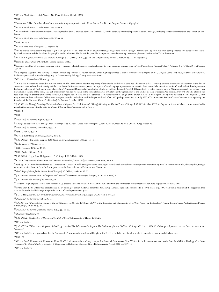O'Hair, Much Water—Little Water—No Water (Chicago: O'Hair, 1933).

Ibid., 1.

Sometimes O'Hair furnishes a list of such institutions, signs or practices as in When Does a Fine Piece of Exegesis Become a Vagary?, 43.

O'Hair, Much Water—Little Water—No Water, 8.

<sup>16</sup> O'Hair thinks in this way mainly about Jewish symbol and ritual practice; about Jesus' ethic he is, on the contrary, remarkably positive in several passages, including scattered comments on the Sermon on the Mount.

O'Hair, Much Water—Little Water—No Water, 11.

Ibid., pp. 43-47.

O'Hair, Fine Piece of Exegesis . . . Vagary?, 43.

<sup>20</sup> We believe we have successfully pieced together an argument for this date, which we originally thought might have been about 1936. This was done by extensive email correspondence over questions and issues by which we examined the details of the pamphlet and its allusions. The date of the pamphlet is important to understanding the several phases of the Ironside-O'Hair discussion.

O'Hair, *Is Baptism a Watery Grave Witness?* (Chicago: J. C. O'Hair, c 1942), pp. 3ff and 15ff; also citing Ironside, *Baptism*, pp. 24, 29 respectively.

Ironside, *The Mysteries of God* (1908; Second Edition, 1946).

<sup>23</sup> A similar list of Jewish practices, expanded to thirty items not adopted, or adopted only selectively by some churches, later appeared in "The Unsearchable Riches of Christ" (Chicago: J. C. O'Hair, 1941), Message 1, p. 13.

<sup>24</sup> Bullinger so argued in "The Mystery" (London: Erye and Spottiswoode, Fourth Edition, 1928), 40; first published as a series of articles in Bullinger's journal, *Things to Come*, 1895-1896, and later as a pamphlet. Failure to appreciate historical theology may be the reason why Bullinger's early view was missed.

O'Hair, . . .*Watery Grave Witness*, pp. 3-4.

<sup>26</sup> While this may seem to contradict our comments on *The Silence of God* near the beginning of this article, we believe it does not. The reason is that—contrary to some assessments of Anderson as the first to articulate a middle-Acts (Pauline) origin of the church—we believe Anderson explored two aspects of the changing dispensational situation in Acts, in which he sometimes spoke of the church of this dispensation beginning to form with Paul, and in other places of the "Pentecostal Dispensation" continuing with Israel and kingdom until Acts 28. This ambiguity is visible in many parts of *Silence of God*, and—we believe—was unresolved at the end of the book. This lack of resolution was due, we think, to the exploratory nature of Anderson's thought and not to any fault of his logic or exegesis. We believe *Silence of God* is like a fork in the road with one path that led ultimately to the later, Bullinger's Acts 28 view, while the other led to O'Hair's view of the origin of the church in Acts 13. Bullinger's Acts 13 view expressed in "The Mystery" (1897) may or may not have influenced O'Hair who was quite clear that he had not read Bullinger until well after 1920, perhaps even after 1923. By 1937, O'Hair wrote of Anderson's as an "extreme view regarding the founding of the Christian Church" (*Bible Study for Bereans*, Feb-Mar, 1937).

<sup>27</sup> J. C. O'Hair, Wrongly Deriding Christian Brethren: A Reply to Dr. H. A. Ironside's 'Wrongly Dividing the Word of Truth' (Chicago: J. C. O'Hair, May, 1935), 6. Pagination is that of a later reprint in which this pamphlet is published with the letter to J. Gray, *When is a Fine Piece of Exegesis a Vagary?*

Ibid., 8.

Ibid.

*Bible Study for Bereans*, August, 1935, 2.

A larger collection of these passages has been compiled by B. Ross, "Grace History Project" (Grand Rapids: Grace Life Bible Church, 2013), Lesson 96.

*Bible Study for Bereans*, September, 1935, 16.

Ibid., October, 1935, 4.

O'Hair, *Bible Study for Bereans, January*, 1936, 1.

J. C. O'Hair, "The Lord's Supper," *Bible Study for Bereans*, December, 1935, pp. 15-17.

Ibid., January, 1936, pp. 15-16.

Ibid., February, 1936, pp. 15-16.

Ibid., April, 1936, pp. 12-13.

J. C. O'Hair, "Light from Philippians. . . ," (Chicago: J. C. O'Hair, 1936).

O'Hair, "Light from Philippians on the Theory of Two Bodies," *Bible Study for Bereans*, June, 1936, pp. 8-10.

<sup>41</sup> Ibid, pp. 16-18. A similar article entitled "Dispensational 'Now" in *Bible Study for Bereans*, June, 1936, extends the historical-inductive argument by examining "now" in the Prison Epistles, showing that, though written in or after Acts 28, "now" refers to prior events he finds reflected in Ephesians and Colossians.

*God's Reign of Grace for the Human Race* (Chicago: J. C. O'Hair, 1936), pp. 19, 25.

J. C. O'Hair, *Pentecostalism, Bullingerism and the World Wide Grace Testimony* (Chicago: J. C. O'Hair, 1939), 8.

J. C. O'Hair, *The Accuser of the Brethren*, 30.

The term "reign of grace" comes from Romans 5:17; it recalls a book by Abraham Booth of the same title from the seventeenth century reprinted at Grand Rapids by Eerdmans, 1949.

 By the later 1930s, O'Hair had probably read E. W. Bullinger's earlier, moderate pamphlet, *The Mystery* (London: Eyre and Spottiswoode, c 1897), where at p. 40 O'Hair would have found the suggestion that Acts 13:46 marks the likely beginning for the church of the dispensation of grace.

J. C. O'Hair, *How to Study the Bible Dispensationally: Progressive Revelation* (Chicago: J. C. O'Hair, c 1931), 2.

*Bible Study for Bereans* (October, 1936).

 J. C. O'Hair, "Unsearchable Riches of Christ" (Chicago, IL: O'Hair, 1941), pp. 64, 99; cf the discussion and references in D. DeWitt, "Essays on Ecclesiology" (Grand Rapids: Grace Publications and Grace Bible College, 2013), pp. 57-61.

*Bible Study for Bereans* (February-March, 1937), pp. 46-62.

 *Progressive Revelation*, 49.

J. C. O'Hair, *The Kingdom of Heaven and the Body of Christ* (Chicago, IL: O'Hair, c 1937), 21.

O'Hair, Ibid., 4.

<sup>54</sup> J. C. O'Hair, "What is the Kingdom of God?" pp. 19-26 of *The Salvation—The Baptism The Dedication of Little Children*, (Chicago: O'Hair, c 1938), 19. Other quoted phrases here are from this same short "message."

O'Hair, Ibid., 21; he suggests here that the "other nation" to whom the kingdom will be given (Mt 21:43) is the believing disciples, but he is not entirely clear or explicit about this.

Ibid., 25.

 O'Hair, *Much Water—Little Water—No Water*, 32. O'Hair's view can be profitably compared to James M. Scott's essay, "Jesus' Vision for the Restoration of Israel as the Basis for a Biblical Theology of the New Testament" in *Biblical Theology: Retrospect & Prospect*, ed S. Hafemann (Downers Grove IL: InterVarsity Press, 2002), pp. 129-143. O'Hair, Ibid., 33.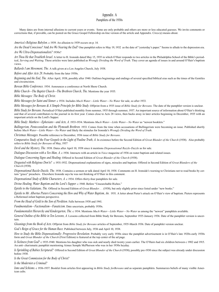# Appendix A

# Pamphlets of the 1930s

Many dates are from internal allusions to current years or events. Some are only probable and others are more or less educated guesses. We invite comments or corrections that, if provable, can be posted on the Grace Gospel Fellowship on-line version of the article and Appendix. Circa (c) means about.

*America's Religious Babylon*. c 1939. An allusion to 1939 occurs on p. 14.

*Are the Dead Conscious?* And *Are We Nearing the End?* One pamphlet refers to May 19, 1932 as the date of "yesterday's paper." Seems to allude to the depression era. *Are We Ultra-Dispensationalists?* 1930s?

*Art Thou He that Troubleth Israel*. A letter to H. Ironside dated May 15, 1935 in which O'Hair responds to two articles in the Philadelphia School of the Bible's periodical, *Serving and Waiting*. These articles were later published as *Wrongly Dividing the Word of Truth*. They cover an agenda of issues in and around O'Hair's baptism views

*Ballards I am Movement, The*. A talk given at a Los Angeles Church, July 1938.

*Before and After Acts 28*. Probably from the later 1930s.

*Beginning and the End, The*. After April, 1938, possibly after 1940. Outlines beginnings and endings of several specified biblical eras such as the times of the Gentiles and circumcision.

*Berean Bible Conference*. 1934. Announces a conference at North Shore Church.

*Bible Church—The Baptist Church—The Brethren Church, The*. Mentions the year 1935.

*Bible Messages: The Body of Christ*.

*Bible Messages for Saint and Sinner*. c 1934. Includes *Much Water—Little Water—No Water* for sale, so after 1933.

*Bible Messages for Bereans & A Simple Principle for Bible Study*. Offprint from a 1935 issue of *Bible Study for Bereans*. The date of the pamphlet version is unclear.

*Bible Study for Bereans*. Periodical O'Hair published monthly from summer, 1935 through summer, 1937. An important source of information about O'Hair's thinking and that of several contributors to the journal in its first year. Comes close to Acts 28 views, then backs away in later articles beginning in December, 1935 with an important article on the Lord's Supper.

*Bible Study: Matthew—Ephesians—and Acts, A*. 1933-1934. Mentions *Much Water—Little Water—No Water* as "newest booklets."

*Bullingerism, Pentecostalism and the Plymouth Brethren*. 1933. Comes from the time when accusations of Bullingerism were becoming an issue. Published shortly before *Much Water—Little Water—No Water* and likely the stimulus for Ironside's *Wrongly Dividing the Word of Truth*.

*Christmas Messages*. Possible reference to December, 1936 issue of *Bible Study for Bereans*.

*Comparative Study of the Four Gospels in the Light of Pauline Truth, A*. In existence before the Second Edition of *Great Blunder of the Church* (1938). Also probably refers to *Bible Study for Bereans* of May, 1937

*Devil and the Mystery, The*. 1938. Dates after April 10, 1938 since it mentions *Dispensational Razzle-Dazzle* as for sale.

*Dialogue-Discussion with a Yes-Man, A*. c 1936. Interacts with an article in *Voice* magazine of 1936 on water baptism and related issues.

*Dialogue Concerning Signs and Healing*. Offered in Second Edition of *Great Blunder of the Church* (1938).

*Disgusted with Religious Don'ts?* c 1931-1932. Dispensational explanations of signs, miracles and baptism. Offered in Second Edition of *Great Blunders of the Church* (1938).

*Dispensational Razzle-Dazzle, The*. 1938. Contains a sermon or talk dated April 10, 1938. Comments on H. Ironside's warning to Christians not to read books by certain "grace" preachers. Elsewhere Ironside says he was not thinking of O'Hair in this comment.

*Dispensational Study of Bible Characters, A*. c 1934. Offers thirty-four pamphlets for sale.

*Divine Healing, Water Baptism and the Lord's Supper*. c 1940. Before "Unsearchable Riches."

*Epistle to the Galatians, The*. Offered in Second Edition of *Great Blunder. . .* (1938), but only slightly prior since listed under "new books."

*Epistle to Mr. Albertus Pieters Concerning the How and Why of Water Baptism, An*. 1931. A letter about Pieter's attack on O'Hair's view of baptism. Pieters represents a Reformed infant baptism perspective.

*From the Head of Gold to the Son of Perdition*. Falls between 1938 and 1941.

*Fundmentalism—Factionalism—Fanaticism*. Date uncertain, probably 1930s.

*Fundamentalist Hierarchy and Kindergarten, The*. c 1934. Mentions *Much Water—Little Water—No Water* as among the "newest" pamphlets available.

*General Outline of the Bible in Ten Lessons, A*. Lessons collected from Bible Study for Bereans, September 1935-January 1936. Date of the pamphlet version is uncertain.

*Gleanings from the Book of Acts*. Offprint from *Bible Study for Bereans* articles of September, 1935-March 1936. Date of pamphlet version unclear.

*God's Reign of Grace for the Human Race*. Published between July, 1936 and April 10, 1938.

*How to Study the Bible Dispensationally: Progressive Revelation*. Probably very early 1930s since the pamphlet advertisement is in O'Hair's late 1920s-early 1930s form and *Great Blunder of the Church* (First Edition) is featured at the top center of the ad page.

*Is Sickness from God?* c 1935-1940. Mentions his daughter who was sick and nearly died twenty years earlier. The O'Hairs had six children between c 1902 and 1915. An anti- charismatic pamphlet mentioning Aimee Semple McPherson who was in her 1930s heyday.

*Is Sprinkling of Babies Scriptural?* Offered in Second Edition of *Great Blunder of the Church* (1938); possibly pre-1930 since the subject was already under discussion before 1930.

*Is the Great Commission for the Body of Christ?*

*Is the Modernist a Criminal?*

*Isms and Schisms*. c 1936-1937. Booklet from articles first appearing in *Bible Study forBereans* and as separate pamphlets. Summarzes beliefs of many visible American cults.